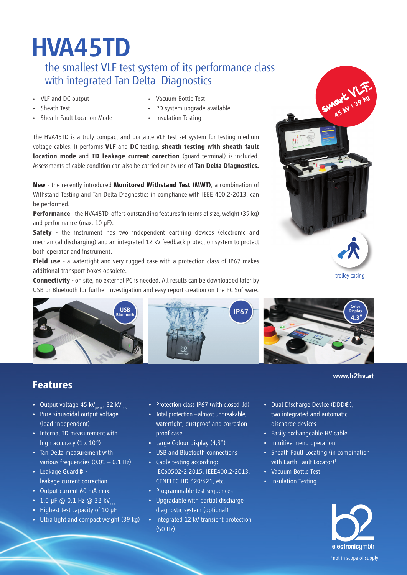## HVA45TD

### the smallest VLF test system of its performance class with integrated Tan Delta Diagnostics

- VLF and DC output
- Sheath Test
- Sheath Fault Location Mode
- Vacuum Bottle Test
- PD system upgrade available
- Insulation Testing

The HVA45TD is a truly compact and portable VLF test set system for testing medium voltage cables. It performs **VLF** and **DC** testing, **sheath testing with sheath fault location mode** and **TD leakage current corection** (guard terminal) is included. Assessments of cable condition can also be carried out by use of **Tan Delta Diagnostics.**

**New** - the recently introduced **Monitored Withstand Test (MWT)**, a combination of Withstand Testing and Tan Delta Diagnostics in compliance with IEEE 400.2-2013, can be performed.

**Performance** - the HVA45TD offers outstanding features in terms of size, weight (39 kg) and performance (max. 10 µF).

**Safety** - the instrument has two independent earthing devices (electronic and mechanical discharging) and an integrated 12 kV feedback protection system to protect both operator and instrument.

**Field use** - a watertight and very rugged case with a protection class of IP67 makes additional transport boxes obsolete.

**Connectivity** - on site, no external PC is needed. All results can be downloaded later by USB or Bluetooth for further investigation and easy report creation on the PC Software.



trolley casing



#### **www.b2hv.at www.b2hv.at**

### **Features**

- Output voltage 45 kV<sub>neak</sub>, 32 kV<sub>rms</sub>
- Pure sinusoidal output voltage (load-independent)
- Internal TD measurement with high accuracy  $(1 \times 10^{-4})$
- Tan Delta measurement with various frequencies (0.01 – 0.1 Hz)
- Leakage Guard® leakage current correction
- Output current 60 mA max.
- 1.0 µF @ 0.1 Hz @ 32 kV<sub>rms</sub>
- Highest test capacity of 10 µF
- Ultra light and compact weight (39 kg)
- Protection class IP67 (with closed lid)
- Total protection almost unbreakable, watertight, dustproof and corrosion proof case
- Large Colour display (4,3")
- USB and Bluetooth connections
- Cable testing according: IEC60502-2:2015, IEEE400.2-2013, CENELEC HD 620/621, etc.
- Programmable test sequences
- Upgradable with partial discharge diagnostic system (optional)
- Integrated 12 kV transient protection (50 Hz)
- Dual Discharge Device (DDD®), two integrated and automatic discharge devices
- Easily exchangeable HV cable
- Intuitive menu operation
- Sheath Fault Locating (in combination with Earth Fault Locator)<sup>1</sup>
- Vacuum Bottle Test
- Insulation Testing